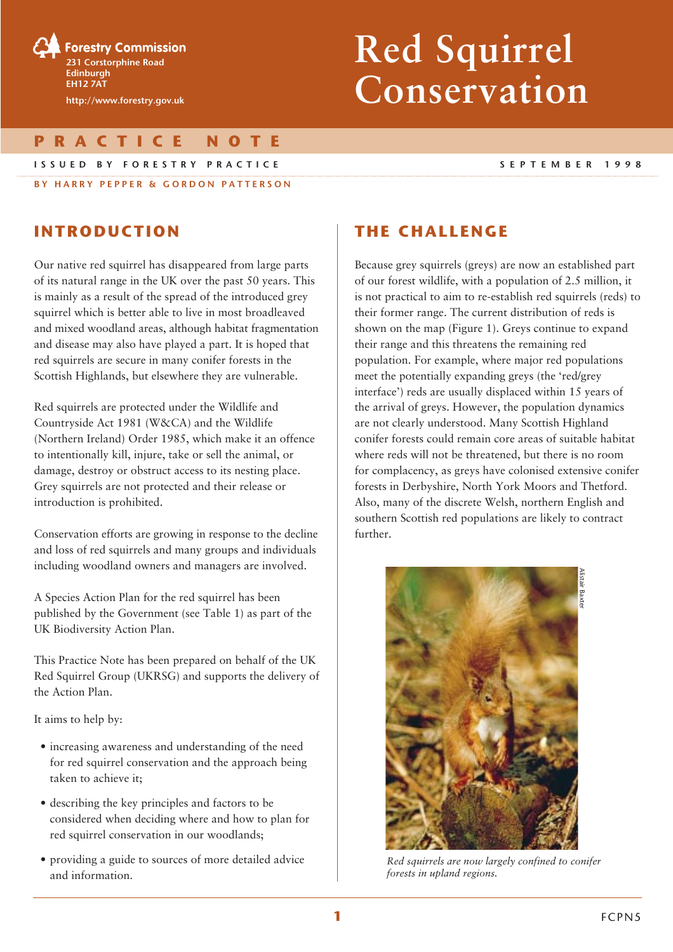

# **Red Squirrel Conservation**

**PRACTICE NOTE**

#### **ISSUED BY FORESTRY PRACTICE SEPTEMBER 1998**

**BY HARRY PEPPER & GORDON PATTERSON**

# **INTRODUCTION**

Our native red squirrel has disappeared from large parts of its natural range in the UK over the past 50 years. This is mainly as a result of the spread of the introduced grey squirrel which is better able to live in most broadleaved and mixed woodland areas, although habitat fragmentation and disease may also have played a part. It is hoped that red squirrels are secure in many conifer forests in the Scottish Highlands, but elsewhere they are vulnerable.

Red squirrels are protected under the Wildlife and Countryside Act 1981 (W&CA) and the Wildlife (Northern Ireland) Order 1985, which make it an offence to intentionally kill, injure, take or sell the animal, or damage, destroy or obstruct access to its nesting place. Grey squirrels are not protected and their release or introduction is prohibited.

Conservation efforts are growing in response to the decline and loss of red squirrels and many groups and individuals including woodland owners and managers are involved.

A Species Action Plan for the red squirrel has been published by the Government (see Table 1) as part of the UK Biodiversity Action Plan.

This Practice Note has been prepared on behalf of the UK Red Squirrel Group (UKRSG) and supports the delivery of the Action Plan.

It aims to help by:

- increasing awareness and understanding of the need for red squirrel conservation and the approach being taken to achieve it;
- describing the key principles and factors to be considered when deciding where and how to plan for red squirrel conservation in our woodlands;
- providing a guide to sources of more detailed advice and information.

# **THE CHALLENGE**

Because grey squirrels (greys) are now an established part of our forest wildlife, with a population of 2.5 million, it is not practical to aim to re-establish red squirrels (reds) to their former range. The current distribution of reds is shown on the map (Figure 1). Greys continue to expand their range and this threatens the remaining red population. For example, where major red populations meet the potentially expanding greys (the 'red/grey interface') reds are usually displaced within 15 years of the arrival of greys. However, the population dynamics are not clearly understood. Many Scottish Highland conifer forests could remain core areas of suitable habitat where reds will not be threatened, but there is no room for complacency, as greys have colonised extensive conifer forests in Derbyshire, North York Moors and Thetford. Also, many of the discrete Welsh, northern English and southern Scottish red populations are likely to contract further.



*Red squirrels are now largely confined to conifer forests in upland regions.*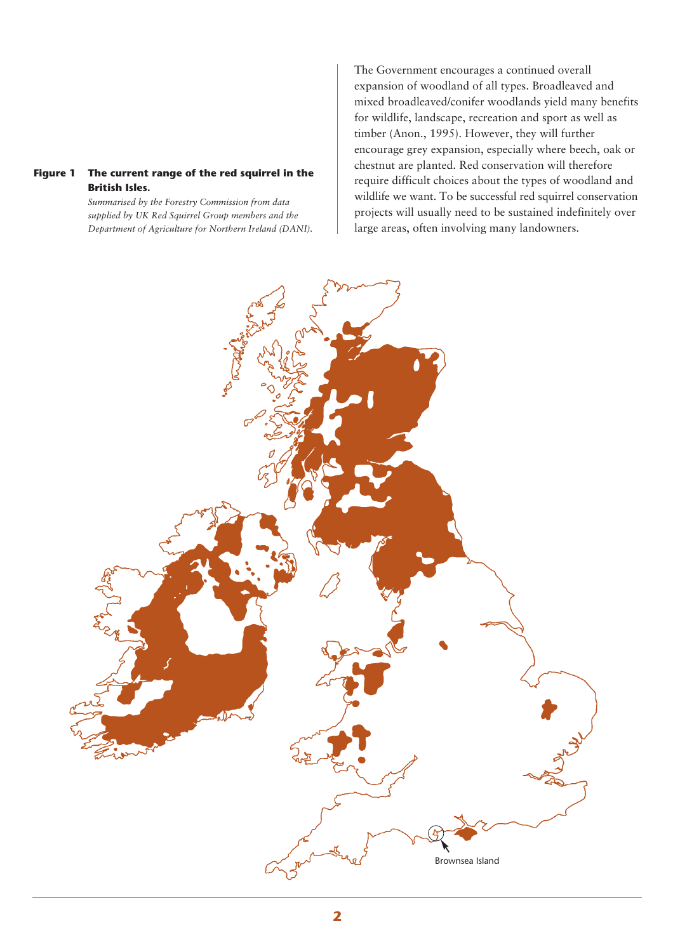### **Figure 1 The current range of the red squirrel in the British Isles.**

*Summarised by the Forestry Commission from data supplied by UK Red Squirrel Group members and the Department of Agriculture for Northern Ireland (DANI).* The Government encourages a continued overall expansion of woodland of all types. Broadleaved and mixed broadleaved/conifer woodlands yield many benefits for wildlife, landscape, recreation and sport as well as timber (Anon., 1995). However, they will further encourage grey expansion, especially where beech, oak or chestnut are planted. Red conservation will therefore require difficult choices about the types of woodland and wildlife we want. To be successful red squirrel conservation projects will usually need to be sustained indefinitely over large areas, often involving many landowners.

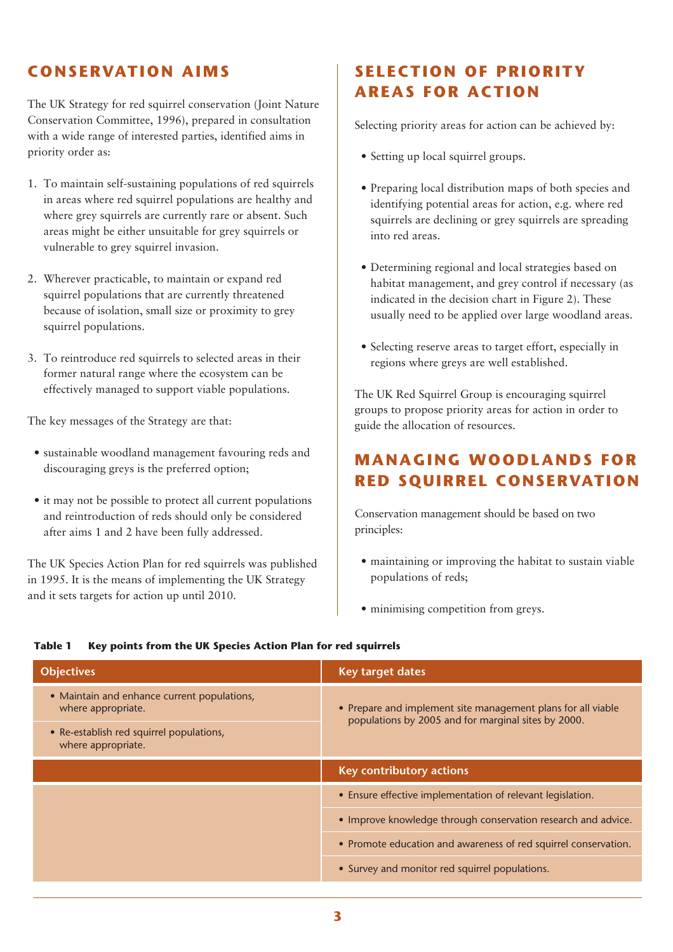# **CONSERVATION AIMS**

The UK Strategy for red squirrel conservation (Joint Nature Conservation Committee, 1996), prepared in consultation with a wide range of interested parties, identified aims in priority order as:

- 1. To maintain self-sustaining populations of red squirrels in areas where red squirrel populations are healthy and where grey squirrels are currently rare or absent. Such areas might be either unsuitable for grey squirrels or vulnerable to grey squirrel invasion.
- 2. Wherever practicable, to maintain or expand red squirrel populations that are currently threatened because of isolation, small size or proximity to grey squirrel populations.
- 3. To reintroduce red squirrels to selected areas in their former natural range where the ecosystem can be effectively managed to support viable populations.

The key messages of the Strategy are that:

- sustainable woodland management favouring reds and discouraging greys is the preferred option;
- it may not be possible to protect all current populations and reintroduction of reds should only be considered after aims 1 and 2 have been fully addressed.

The UK Species Action Plan for red squirrels was published in 1995. It is the means of implementing the UK Strategy and it sets targets for action up until 2010.

# **SELECTION OF PRIORITY AREAS FOR ACTION**

Selecting priority areas for action can be achieved by:

- Setting up local squirrel groups.
- Preparing local distribution maps of both species and identifying potential areas for action, e.g. where red squirrels are declining or grey squirrels are spreading into red areas.
- Determining regional and local strategies based on habitat management, and grey control if necessary (as indicated in the decision chart in Figure 2). These usually need to be applied over large woodland areas.
- Selecting reserve areas to target effort, especially in regions where greys are well established.

The UK Red Squirrel Group is encouraging squirrel groups to propose priority areas for action in order to guide the allocation of resources.

# **MANAGING WOODLANDS FOR RED SQUIRREL CONSERVATION**

Conservation management should be based on two principles:

- maintaining or improving the habitat to sustain viable populations of reds;
- minimising competition from greys.

| <b>Objectives</b>                                                 | Key target dates                                                                                                    |
|-------------------------------------------------------------------|---------------------------------------------------------------------------------------------------------------------|
| • Maintain and enhance current populations,<br>where appropriate. | • Prepare and implement site management plans for all viable<br>populations by 2005 and for marginal sites by 2000. |
| • Re-establish red squirrel populations,<br>where appropriate.    |                                                                                                                     |
|                                                                   | Key contributory actions                                                                                            |
|                                                                   | • Ensure effective implementation of relevant legislation.                                                          |
|                                                                   | • Improve knowledge through conservation research and advice.                                                       |
|                                                                   | • Promote education and awareness of red squirrel conservation.                                                     |
|                                                                   | • Survey and monitor red squirrel populations.                                                                      |

#### **Table 1 Key points from the UK Species Action Plan for red squirrels**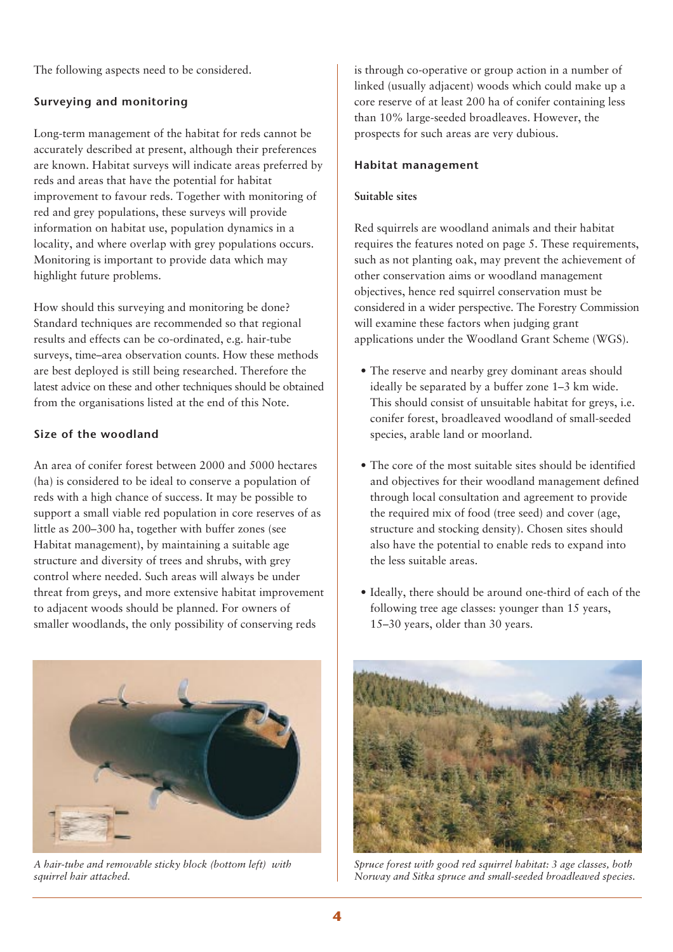The following aspects need to be considered.

# **Surveying and monitoring**

Long-term management of the habitat for reds cannot be accurately described at present, although their preferences are known. Habitat surveys will indicate areas preferred by reds and areas that have the potential for habitat improvement to favour reds. Together with monitoring of red and grey populations, these surveys will provide information on habitat use, population dynamics in a locality, and where overlap with grey populations occurs. Monitoring is important to provide data which may highlight future problems.

How should this surveying and monitoring be done? Standard techniques are recommended so that regional results and effects can be co-ordinated, e.g. hair-tube surveys, time–area observation counts. How these methods are best deployed is still being researched. Therefore the latest advice on these and other techniques should be obtained from the organisations listed at the end of this Note.

# **Size of the woodland**

An area of conifer forest between 2000 and 5000 hectares (ha) is considered to be ideal to conserve a population of reds with a high chance of success. It may be possible to support a small viable red population in core reserves of as little as 200–300 ha, together with buffer zones (see Habitat management), by maintaining a suitable age structure and diversity of trees and shrubs, with grey control where needed. Such areas will always be under threat from greys, and more extensive habitat improvement to adjacent woods should be planned. For owners of smaller woodlands, the only possibility of conserving reds



*A hair-tube and removable sticky block (bottom left) with squirrel hair attached.*

is through co-operative or group action in a number of linked (usually adjacent) woods which could make up a core reserve of at least 200 ha of conifer containing less than 10% large-seeded broadleaves. However, the prospects for such areas are very dubious.

## **Habitat management**

### **Suitable sites**

Red squirrels are woodland animals and their habitat requires the features noted on page 5. These requirements, such as not planting oak, may prevent the achievement of other conservation aims or woodland management objectives, hence red squirrel conservation must be considered in a wider perspective. The Forestry Commission will examine these factors when judging grant applications under the Woodland Grant Scheme (WGS).

- The reserve and nearby grey dominant areas should ideally be separated by a buffer zone 1–3 km wide. This should consist of unsuitable habitat for greys, i.e. conifer forest, broadleaved woodland of small-seeded species, arable land or moorland.
- The core of the most suitable sites should be identified and objectives for their woodland management defined through local consultation and agreement to provide the required mix of food (tree seed) and cover (age, structure and stocking density). Chosen sites should also have the potential to enable reds to expand into the less suitable areas.
- Ideally, there should be around one-third of each of the following tree age classes: younger than 15 years, 15–30 years, older than 30 years.



*Spruce forest with good red squirrel habitat: 3 age classes, both Norway and Sitka spruce and small-seeded broadleaved species.*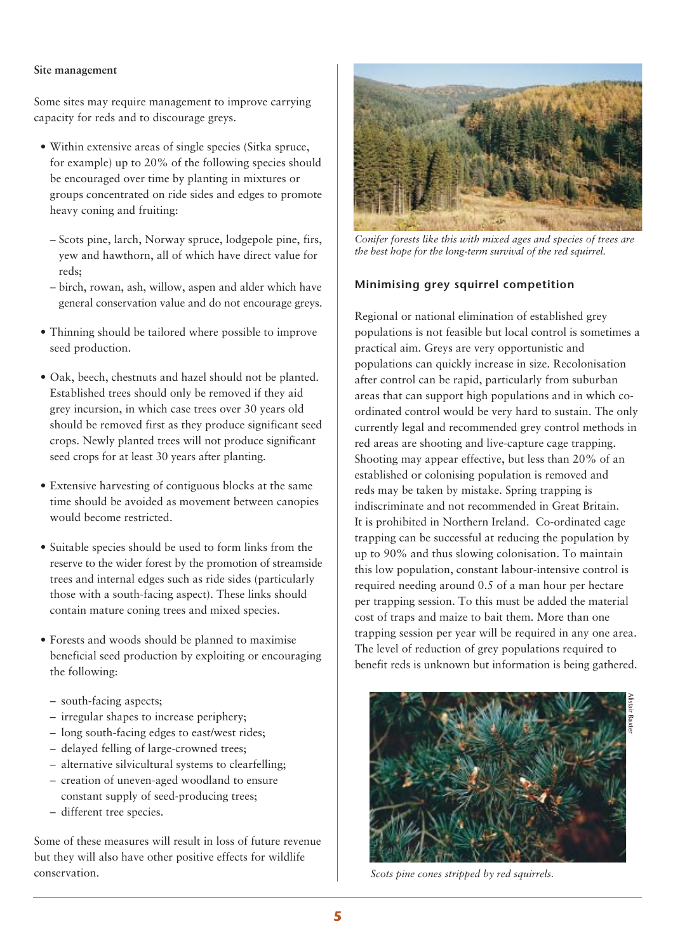### **Site management**

Some sites may require management to improve carrying capacity for reds and to discourage greys.

- Within extensive areas of single species (Sitka spruce, for example) up to 20% of the following species should be encouraged over time by planting in mixtures or groups concentrated on ride sides and edges to promote heavy coning and fruiting:
	- Scots pine, larch, Norway spruce, lodgepole pine, firs, yew and hawthorn, all of which have direct value for reds;
	- birch, rowan, ash, willow, aspen and alder which have general conservation value and do not encourage greys.
- Thinning should be tailored where possible to improve seed production.
- Oak, beech, chestnuts and hazel should not be planted. Established trees should only be removed if they aid grey incursion, in which case trees over 30 years old should be removed first as they produce significant seed crops. Newly planted trees will not produce significant seed crops for at least 30 years after planting.
- Extensive harvesting of contiguous blocks at the same time should be avoided as movement between canopies would become restricted.
- Suitable species should be used to form links from the reserve to the wider forest by the promotion of streamside trees and internal edges such as ride sides (particularly those with a south-facing aspect). These links should contain mature coning trees and mixed species.
- Forests and woods should be planned to maximise beneficial seed production by exploiting or encouraging the following:
	- south-facing aspects;
	- irregular shapes to increase periphery;
	- long south-facing edges to east/west rides;
	- delayed felling of large-crowned trees;
	- alternative silvicultural systems to clearfelling;
	- creation of uneven-aged woodland to ensure constant supply of seed-producing trees;
	- different tree species.

Some of these measures will result in loss of future revenue but they will also have other positive effects for wildlife conservation.



*Conifer forests like this with mixed ages and species of trees are the best hope for the long-term survival of the red squirrel.*

### **Minimising grey squirrel competition**

Regional or national elimination of established grey populations is not feasible but local control is sometimes a practical aim. Greys are very opportunistic and populations can quickly increase in size. Recolonisation after control can be rapid, particularly from suburban areas that can support high populations and in which coordinated control would be very hard to sustain. The only currently legal and recommended grey control methods in red areas are shooting and live-capture cage trapping. Shooting may appear effective, but less than 20% of an established or colonising population is removed and reds may be taken by mistake. Spring trapping is indiscriminate and not recommended in Great Britain. It is prohibited in Northern Ireland. Co-ordinated cage trapping can be successful at reducing the population by up to 90% and thus slowing colonisation. To maintain this low population, constant labour-intensive control is required needing around 0.5 of a man hour per hectare per trapping session. To this must be added the material cost of traps and maize to bait them. More than one trapping session per year will be required in any one area. The level of reduction of grey populations required to benefit reds is unknown but information is being gathered.



*Scots pine cones stripped by red squirrels.*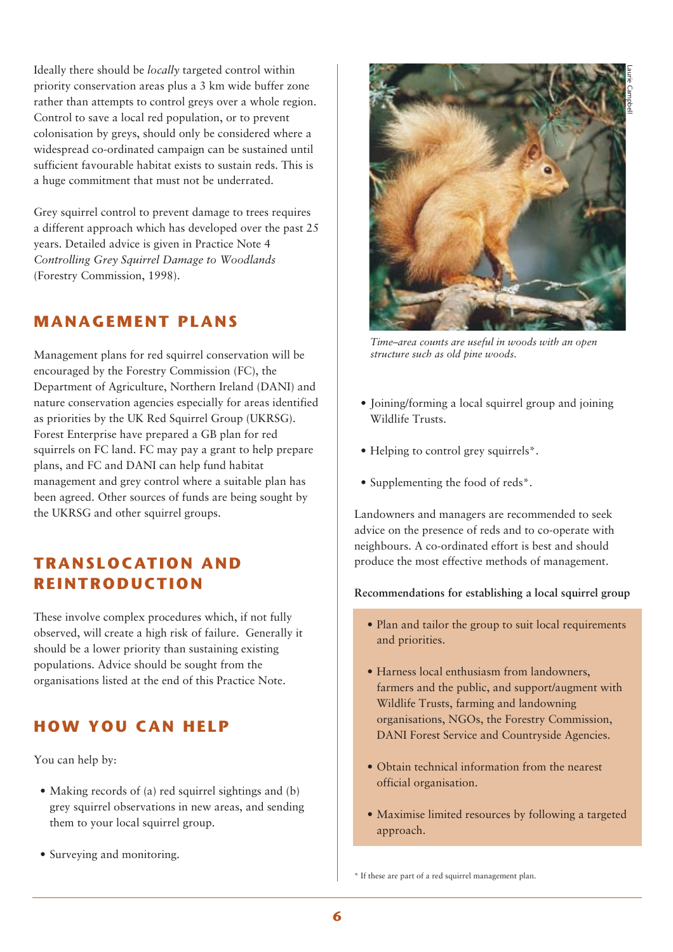Ideally there should be *locally* targeted control within priority conservation areas plus a 3 km wide buffer zone rather than attempts to control greys over a whole region. Control to save a local red population, or to prevent colonisation by greys, should only be considered where a widespread co-ordinated campaign can be sustained until sufficient favourable habitat exists to sustain reds. This is a huge commitment that must not be underrated.

Grey squirrel control to prevent damage to trees requires a different approach which has developed over the past 25 years. Detailed advice is given in Practice Note 4 *Controlling Grey Squirrel Damage to Woodlands* (Forestry Commission, 1998).

# **MANAGEMENT PLANS**

Management plans for red squirrel conservation will be encouraged by the Forestry Commission (FC), the Department of Agriculture, Northern Ireland (DANI) and nature conservation agencies especially for areas identified as priorities by the UK Red Squirrel Group (UKRSG). Forest Enterprise have prepared a GB plan for red squirrels on FC land. FC may pay a grant to help prepare plans, and FC and DANI can help fund habitat management and grey control where a suitable plan has been agreed. Other sources of funds are being sought by the UKRSG and other squirrel groups.

# **TRANSLOCATION AND REINTRODUCTION**

These involve complex procedures which, if not fully observed, will create a high risk of failure. Generally it should be a lower priority than sustaining existing populations. Advice should be sought from the organisations listed at the end of this Practice Note.

# **HOW YOU CAN HELP**

You can help by:

- Making records of (a) red squirrel sightings and (b) grey squirrel observations in new areas, and sending them to your local squirrel group.
- Surveying and monitoring.



*Time–area counts are useful in woods with an open structure such as old pine woods.*

- Ioining/forming a local squirrel group and joining Wildlife Trusts.
- Helping to control grey squirrels<sup>\*</sup>.
- Supplementing the food of reds\*.

Landowners and managers are recommended to seek advice on the presence of reds and to co-operate with neighbours. A co-ordinated effort is best and should produce the most effective methods of management.

**Recommendations for establishing a local squirrel group**

- Plan and tailor the group to suit local requirements and priorities.
- Harness local enthusiasm from landowners, farmers and the public, and support/augment with Wildlife Trusts, farming and landowning organisations, NGOs, the Forestry Commission, DANI Forest Service and Countryside Agencies.
- Obtain technical information from the nearest official organisation.
- Maximise limited resources by following a targeted approach.

\* If these are part of a red squirrel management plan.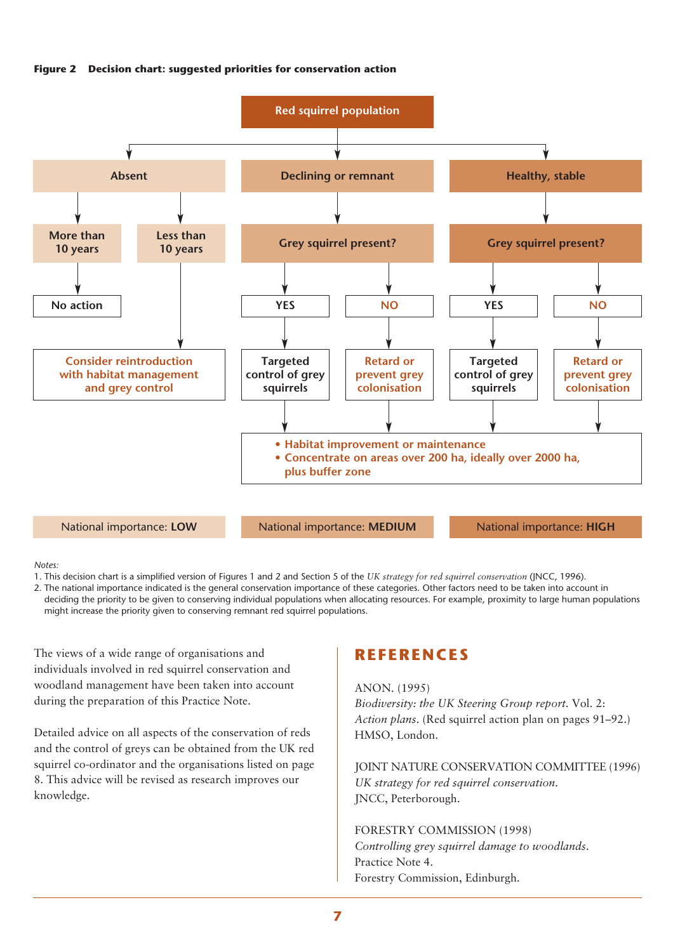



#### *Notes:*

1. This decision chart is a simplified version of Figures 1 and 2 and Section 5 of the *UK strategy for red squirrel conservation* (JNCC, 1996).

2. The national importance indicated is the general conservation importance of these categories. Other factors need to be taken into account in deciding the priority to be given to conserving individual populations when allocating resources. For example, proximity to large human populations might increase the priority given to conserving remnant red squirrel populations.

The views of a wide range of organisations and individuals involved in red squirrel conservation and woodland management have been taken into account during the preparation of this Practice Note.

Detailed advice on all aspects of the conservation of reds and the control of greys can be obtained from the UK red squirrel co-ordinator and the organisations listed on page 8. This advice will be revised as research improves our knowledge.

# **REFERENCES**

#### ANON. (1995)

*Biodiversity: the UK Steering Group report.* Vol. 2: *Action plans*. (Red squirrel action plan on pages 91–92.) HMSO, London.

JOINT NATURE CONSERVATION COMMITTEE (1996) *UK strategy for red squirrel conservation*. JNCC, Peterborough.

FORESTRY COMMISSION (1998) *Controlling grey squirrel damage to woodlands*. Practice Note 4. Forestry Commission, Edinburgh.